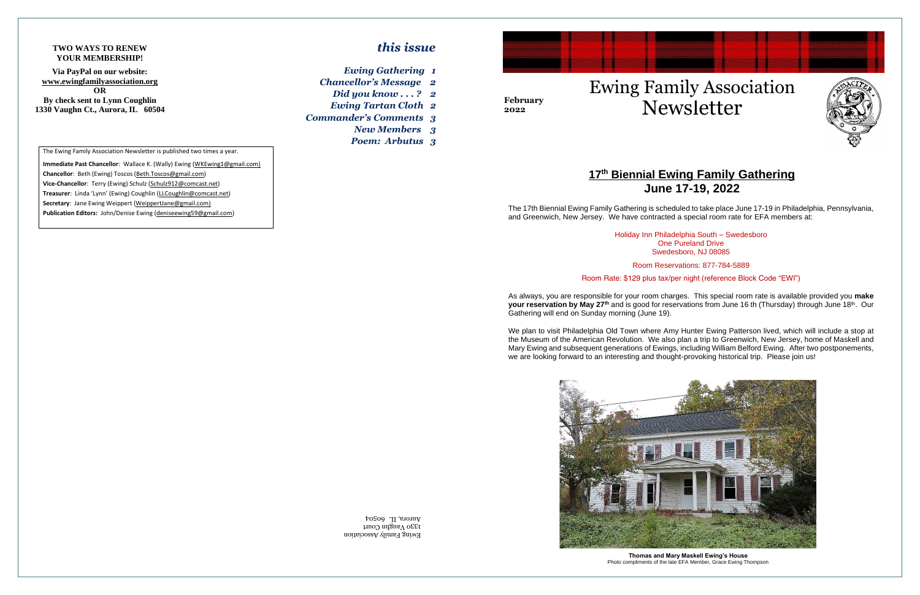Ewing Family Association 1330 Vaughn Court Aurora, IL 60504



# Newsletter Ewing Family Association

# **17th Biennial Ewing Family Gathering June 17-19, 2022**

## *this issue*

- *Ewing Gathering 1*
- *Chancellor's Message 2*
- *Did you know . . . ? 2 Ewing Tartan Cloth 2*
- *Commander's Comments 3*
	- *New Members 3*
	- *Poem: Arbutus 3*



**February 2022**

The Ewing Family Association Newsletter is published two times a year.

**Immediate Past Chancellor**: Wallace K. (Wally) Ewing (WKEwing1@gmail.com) **Chancellor**: Beth (Ewing) Toscos (Beth.Toscos@gmail.com) **Vice-Chancellor**: Terry (Ewing) Schulz (Schulz912@comcast.net) **Treasurer**: Linda 'Lynn' (Ewing) Coughlin (LLCoughlin@comcast.net) **Secretary**: Jane Ewing Weippert (WeippertJane@gmail.com) **Publication Editors:** John/Denise Ewing (deniseewing59@gmail.com)

**'** The 17th Biennial Ewing Family Gathering is scheduled to take place June 17-19 in Philadelphia, Pennsylvania, and Greenwich, New Jersey. We have contracted a special room rate for EFA members at:

#### **TWO WAYS TO RENEW YOUR MEMBERSHIP!**

**Via PayPal on our website: www.ewingfamilyassociation.org OR By check sent to Lynn Coughlin 1330 Vaughn Ct., Aurora, IL 60504**

> Holiday Inn Philadelphia South – Swedesboro One Pureland Drive Swedesboro, NJ 08085

Room Reservations: 877-784-5889

Room Rate: \$129 plus tax/per night (reference Block Code "EWI")

As always, you are responsible for your room charges. This special room rate is available provided you **make**  your reservation by May 27<sup>th</sup> and is good for reservations from June 16 th (Thursday) through June 18<sup>th</sup>. Our Gathering will end on Sunday morning (June 19).

We plan to visit Philadelphia Old Town where Amy Hunter Ewing Patterson lived, which will include a stop at the Museum of the American Revolution. We also plan a trip to Greenwich, New Jersey, home of Maskell and Mary Ewing and subsequent generations of Ewings, including William Belford Ewing. After two postponements, we are looking forward to an interesting and thought-provoking historical trip. Please join us!



**Thomas and Mary Maskell Ewing's House** Photo compliments of the late EFA Member, Grace Ewing Thompson